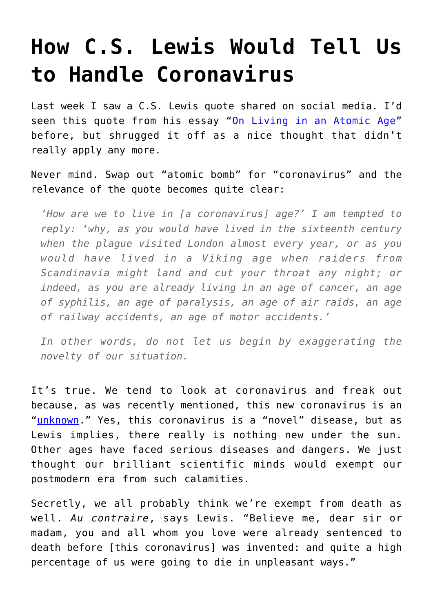## **[How C.S. Lewis Would Tell Us](https://intellectualtakeout.org/2020/03/how-c-s-lewis-would-tell-us-to-handle-coronavirus/) [to Handle Coronavirus](https://intellectualtakeout.org/2020/03/how-c-s-lewis-would-tell-us-to-handle-coronavirus/)**

Last week I saw a C.S. Lewis quote shared on social media. I'd seen this quote from his essay ["On Living in an Atomic Age"](https://www.amazon.com/gp/product/0062643592/ref=as_li_qf_asin_il_tl?ie=UTF8&tag=intelltakeo0d-20&creative=9325&linkCode=as2&creativeASIN=0062643592&linkId=25e502841ca1fd65ad080bcd22f7145a) before, but shrugged it off as a nice thought that didn't really apply any more.

Never mind. Swap out "atomic bomb" for "coronavirus" and the relevance of the quote becomes quite clear:

*'How are we to live in [a coronavirus] age?' I am tempted to reply: 'why, as you would have lived in the sixteenth century when the plague visited London almost every year, or as you would have lived in a Viking age when raiders from Scandinavia might land and cut your throat any night; or indeed, as you are already living in an age of cancer, an age of syphilis, an age of paralysis, an age of air raids, an age of railway accidents, an age of motor accidents.'*

*In other words, do not let us begin by exaggerating the novelty of our situation.*

It's true. We tend to look at coronavirus and freak out because, as was recently mentioned, this new coronavirus is an "[unknown.](https://www.intellectualtakeout.org/article/old-guy-looks-coronavirus)" Yes, this coronavirus is a "novel" disease, but as Lewis implies, there really is nothing new under the sun. Other ages have faced serious diseases and dangers. We just thought our brilliant scientific minds would exempt our postmodern era from such calamities.

Secretly, we all probably think we're exempt from death as well. *Au contraire*, says Lewis. "Believe me, dear sir or madam, you and all whom you love were already sentenced to death before [this coronavirus] was invented: and quite a high percentage of us were going to die in unpleasant ways."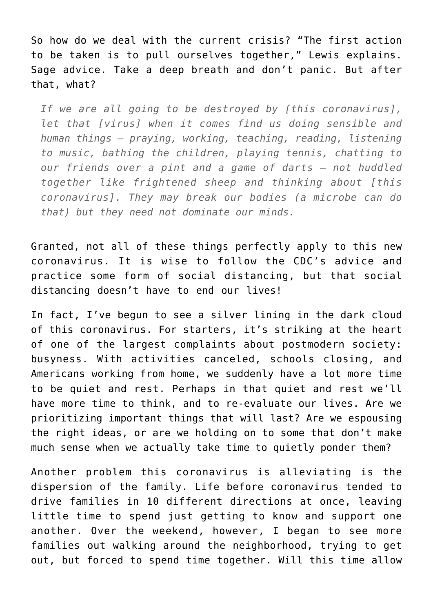So how do we deal with the current crisis? "The first action to be taken is to pull ourselves together," Lewis explains. Sage advice. Take a deep breath and don't panic. But after that, what?

*If we are all going to be destroyed by [this coronavirus], let that [virus] when it comes find us doing sensible and human things – praying, working, teaching, reading, listening to music, bathing the children, playing tennis, chatting to our friends over a pint and a game of darts – not huddled together like frightened sheep and thinking about [this coronavirus]. They may break our bodies (a microbe can do that) but they need not dominate our minds.*

Granted, not all of these things perfectly apply to this new coronavirus. It is wise to follow the CDC's advice and practice some form of social distancing, but that social distancing doesn't have to end our lives!

In fact, I've begun to see a silver lining in the dark cloud of this coronavirus. For starters, it's striking at the heart of one of the largest complaints about postmodern society: busyness. With activities canceled, schools closing, and Americans working from home, we suddenly have a lot more time to be quiet and rest. Perhaps in that quiet and rest we'll have more time to think, and to re-evaluate our lives. Are we prioritizing important things that will last? Are we espousing the right ideas, or are we holding on to some that don't make much sense when we actually take time to quietly ponder them?

Another problem this coronavirus is alleviating is the dispersion of the family. Life before coronavirus tended to drive families in 10 different directions at once, leaving little time to spend just getting to know and support one another. Over the weekend, however, I began to see more families out walking around the neighborhood, trying to get out, but forced to spend time together. Will this time allow